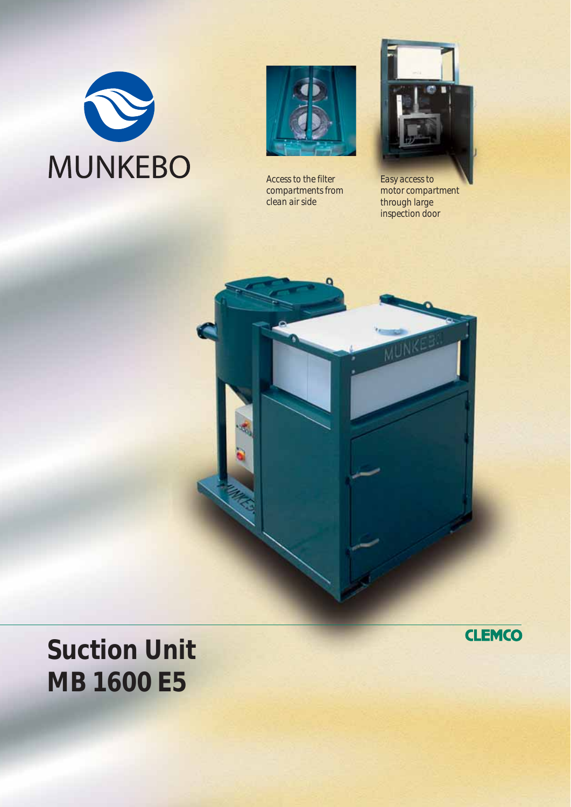



*Access to the filter compartments from clean air side*



*Easy access to motor compartment through large inspection door*



## **Suction Unit MB 1600 E5**